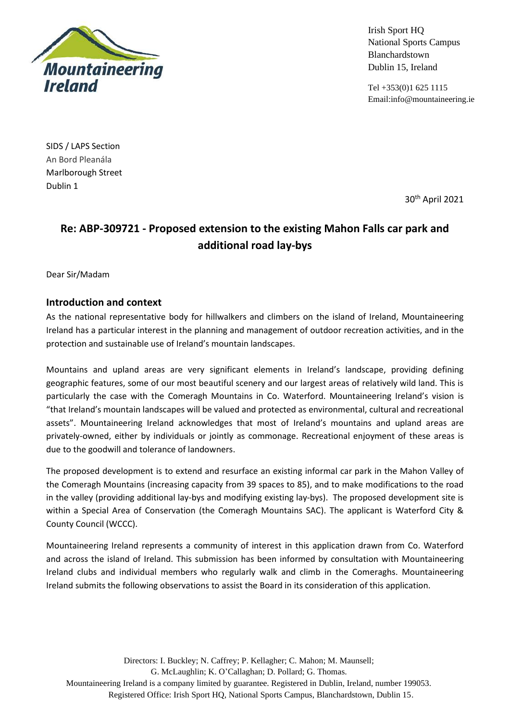

Irish Sport HQ National Sports Campus Blanchardstown Dublin 15, Ireland

Tel +353(0)1 625 1115 Email:info@mountaineering.ie

SIDS / LAPS Section An Bord Pleanála Marlborough Street Dublin 1

30th April 2021

# **Re: ABP-309721 - Proposed extension to the existing Mahon Falls car park and additional road lay-bys**

Dear Sir/Madam

#### **Introduction and context**

As the national representative body for hillwalkers and climbers on the island of Ireland, Mountaineering Ireland has a particular interest in the planning and management of outdoor recreation activities, and in the protection and sustainable use of Ireland's mountain landscapes.

Mountains and upland areas are very significant elements in Ireland's landscape, providing defining geographic features, some of our most beautiful scenery and our largest areas of relatively wild land. This is particularly the case with the Comeragh Mountains in Co. Waterford. Mountaineering Ireland's vision is "that Ireland's mountain landscapes will be valued and protected as environmental, cultural and recreational assets". Mountaineering Ireland acknowledges that most of Ireland's mountains and upland areas are privately-owned, either by individuals or jointly as commonage. Recreational enjoyment of these areas is due to the goodwill and tolerance of landowners.

The proposed development is to extend and resurface an existing informal car park in the Mahon Valley of the Comeragh Mountains (increasing capacity from 39 spaces to 85), and to make modifications to the road in the valley (providing additional lay-bys and modifying existing lay-bys). The proposed development site is within a Special Area of Conservation (the Comeragh Mountains SAC). The applicant is Waterford City & County Council (WCCC).

Mountaineering Ireland represents a community of interest in this application drawn from Co. Waterford and across the island of Ireland. This submission has been informed by consultation with Mountaineering Ireland clubs and individual members who regularly walk and climb in the Comeraghs. Mountaineering Ireland submits the following observations to assist the Board in its consideration of this application.

Directors: I. Buckley; N. Caffrey; P. Kellagher; C. Mahon; M. Maunsell; G. McLaughlin; K. O'Callaghan; D. Pollard; G. Thomas. Mountaineering Ireland is a company limited by guarantee. Registered in Dublin, Ireland, number 199053. Registered Office: Irish Sport HQ, National Sports Campus, Blanchardstown, Dublin 15.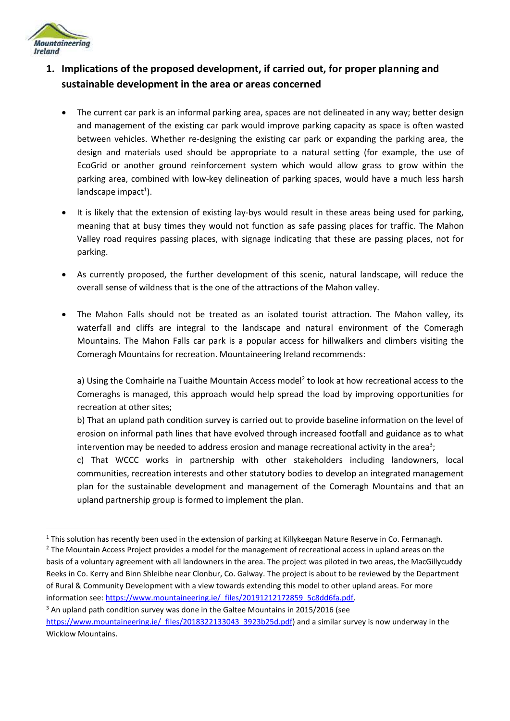

## **1. Implications of the proposed development, if carried out, for proper planning and sustainable development in the area or areas concerned**

- The current car park is an informal parking area, spaces are not delineated in any way; better design and management of the existing car park would improve parking capacity as space is often wasted between vehicles. Whether re-designing the existing car park or expanding the parking area, the design and materials used should be appropriate to a natural setting (for example, the use of EcoGrid or another ground reinforcement system which would allow grass to grow within the parking area, combined with low-key delineation of parking spaces, would have a much less harsh landscape impact<sup>1</sup>).
- It is likely that the extension of existing lay-bys would result in these areas being used for parking, meaning that at busy times they would not function as safe passing places for traffic. The Mahon Valley road requires passing places, with signage indicating that these are passing places, not for parking.
- As currently proposed, the further development of this scenic, natural landscape, will reduce the overall sense of wildness that is the one of the attractions of the Mahon valley.
- The Mahon Falls should not be treated as an isolated tourist attraction. The Mahon valley, its waterfall and cliffs are integral to the landscape and natural environment of the Comeragh Mountains. The Mahon Falls car park is a popular access for hillwalkers and climbers visiting the Comeragh Mountains for recreation. Mountaineering Ireland recommends:

a) Using the Comhairle na Tuaithe Mountain Access model<sup>2</sup> to look at how recreational access to the Comeraghs is managed, this approach would help spread the load by improving opportunities for recreation at other sites;

b) That an upland path condition survey is carried out to provide baseline information on the level of erosion on informal path lines that have evolved through increased footfall and guidance as to what intervention may be needed to address erosion and manage recreational activity in the area<sup>3</sup>;

c) That WCCC works in partnership with other stakeholders including landowners, local communities, recreation interests and other statutory bodies to develop an integrated management plan for the sustainable development and management of the Comeragh Mountains and that an upland partnership group is formed to implement the plan.

 $1$  This solution has recently been used in the extension of parking at Killykeegan Nature Reserve in Co. Fermanagh.

<sup>&</sup>lt;sup>2</sup> The Mountain Access Project provides a model for the management of recreational access in upland areas on the basis of a voluntary agreement with all landowners in the area. The project was piloted in two areas, the MacGillycuddy Reeks in Co. Kerry and Binn Shleibhe near Clonbur, Co. Galway. The project is about to be reviewed by the Department of Rural & Community Development with a view towards extending this model to other upland areas. For more information see: https://www.mountaineering.ie/ files/20191212172859\_5c8dd6fa.pdf.

<sup>&</sup>lt;sup>3</sup> An upland path condition survey was done in the Galtee Mountains in 2015/2016 (see [https://www.mountaineering.ie/\\_files/2018322133043\\_3923b25d.pdf\)](https://www.mountaineering.ie/_files/2018322133043_3923b25d.pdf) and a similar survey is now underway in the Wicklow Mountains.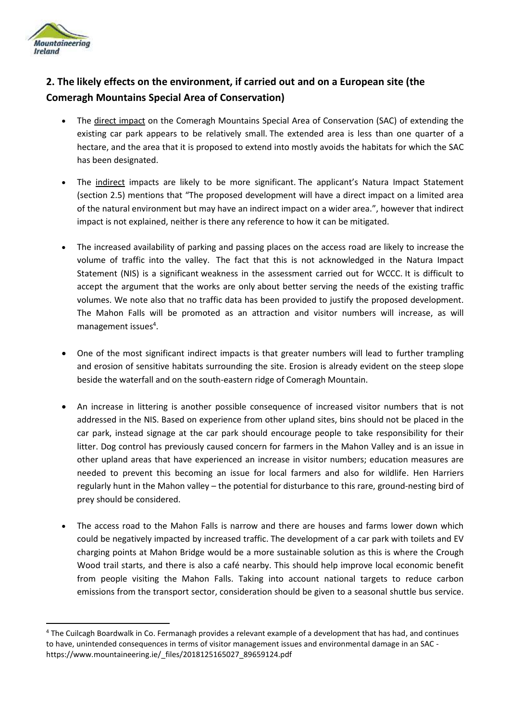

## **2. The likely effects on the environment, if carried out and on a European site (the Comeragh Mountains Special Area of Conservation)**

- The direct impact on the Comeragh Mountains Special Area of Conservation (SAC) of extending the existing car park appears to be relatively small. The extended area is less than one quarter of a hectare, and the area that it is proposed to extend into mostly avoids the habitats for which the SAC has been designated.
- The indirect impacts are likely to be more significant. The applicant's Natura Impact Statement (section 2.5) mentions that "The proposed development will have a direct impact on a limited area of the natural environment but may have an indirect impact on a wider area.", however that indirect impact is not explained, neither is there any reference to how it can be mitigated.
- The increased availability of parking and passing places on the access road are likely to increase the volume of traffic into the valley. The fact that this is not acknowledged in the Natura Impact Statement (NIS) is a significant weakness in the assessment carried out for WCCC. It is difficult to accept the argument that the works are only about better serving the needs of the existing traffic volumes. We note also that no traffic data has been provided to justify the proposed development. The Mahon Falls will be promoted as an attraction and visitor numbers will increase, as will management issues<sup>4</sup>.
- One of the most significant indirect impacts is that greater numbers will lead to further trampling and erosion of sensitive habitats surrounding the site. Erosion is already evident on the steep slope beside the waterfall and on the south-eastern ridge of Comeragh Mountain.
- An increase in littering is another possible consequence of increased visitor numbers that is not addressed in the NIS. Based on experience from other upland sites, bins should not be placed in the car park, instead signage at the car park should encourage people to take responsibility for their litter. Dog control has previously caused concern for farmers in the Mahon Valley and is an issue in other upland areas that have experienced an increase in visitor numbers; education measures are needed to prevent this becoming an issue for local farmers and also for wildlife. Hen Harriers regularly hunt in the Mahon valley – the potential for disturbance to this rare, ground-nesting bird of prey should be considered.
- The access road to the Mahon Falls is narrow and there are houses and farms lower down which could be negatively impacted by increased traffic. The development of a car park with toilets and EV charging points at Mahon Bridge would be a more sustainable solution as this is where the Crough Wood trail starts, and there is also a café nearby. This should help improve local economic benefit from people visiting the Mahon Falls. Taking into account national targets to reduce carbon emissions from the transport sector, consideration should be given to a seasonal shuttle bus service.

<sup>4</sup> The Cuilcagh Boardwalk in Co. Fermanagh provides a relevant example of a development that has had, and continues to have, unintended consequences in terms of visitor management issues and environmental damage in an SAC https://www.mountaineering.ie/\_files/2018125165027\_89659124.pdf